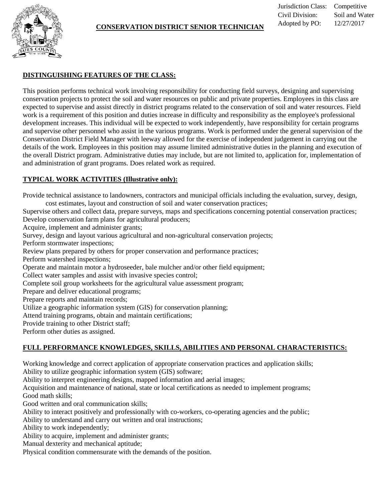

### **CONSERVATION DISTRICT SENIOR TECHNICIAN**

## **DISTINGUISHING FEATURES OF THE CLASS:**

This position performs technical work involving responsibility for conducting field surveys, designing and supervising conservation projects to protect the soil and water resources on public and private properties. Employees in this class are expected to supervise and assist directly in district programs related to the conservation of soil and water resources. Field work is a requirement of this position and duties increase in difficulty and responsibility as the employee's professional development increases. This individual will be expected to work independently, have responsibility for certain programs and supervise other personnel who assist in the various programs. Work is performed under the general supervision of the Conservation District Field Manager with leeway allowed for the exercise of independent judgement in carrying out the details of the work. Employees in this position may assume limited administrative duties in the planning and execution of the overall District program. Administrative duties may include, but are not limited to, application for, implementation of and administration of grant programs. Does related work as required.

### **TYPICAL WORK ACTIVITIES (Illustrative only):**

Provide technical assistance to landowners, contractors and municipal officials including the evaluation, survey, design, cost estimates, layout and construction of soil and water conservation practices;

Supervise others and collect data, prepare surveys, maps and specifications concerning potential conservation practices; Develop conservation farm plans for agricultural producers;

Acquire, implement and administer grants;

Survey, design and layout various agricultural and non-agricultural conservation projects;

Perform stormwater inspections;

Review plans prepared by others for proper conservation and performance practices;

Perform watershed inspections;

Operate and maintain motor a hydroseeder, bale mulcher and/or other field equipment;

Collect water samples and assist with invasive species control;

Complete soil group worksheets for the agricultural value assessment program;

Prepare and deliver educational programs;

Prepare reports and maintain records;

Utilize a geographic information system (GIS) for conservation planning;

Attend training programs, obtain and maintain certifications;

Provide training to other District staff;

Perform other duties as assigned.

# **FULL PERFORMANCE KNOWLEDGES, SKILLS, ABILITIES AND PERSONAL CHARACTERISTICS:**

Working knowledge and correct application of appropriate conservation practices and application skills;

Ability to utilize geographic information system (GIS) software;

Ability to interpret engineering designs, mapped information and aerial images;

Acquisition and maintenance of national, state or local certifications as needed to implement programs; Good math skills;

Good written and oral communication skills;

Ability to interact positively and professionally with co-workers, co-operating agencies and the public;

Ability to understand and carry out written and oral instructions;

Ability to work independently;

Ability to acquire, implement and administer grants;

Manual dexterity and mechanical aptitude;

Physical condition commensurate with the demands of the position.